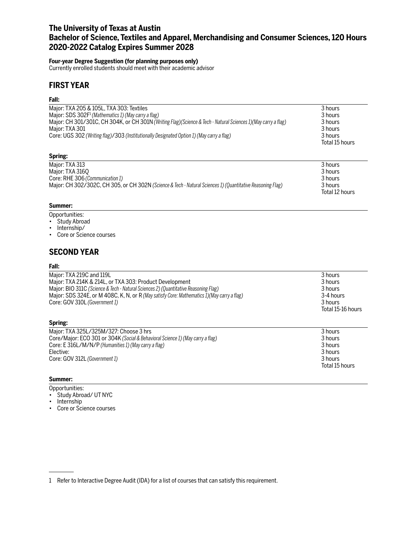# **The University of Texas at Austin Bachelor of Science, Textiles and Apparel, Merchandising and Consumer Sciences, 120 Hours 2020-2022 Catalog Expires Summer 2028**

### **Four-year Degree Suggestion (for planning purposes only)**

Currently enrolled students should meet with their academic advisor

## **FIRST YEAR**

### **Fall:**

| Major: TXA 205 & 105L, TXA 303: Textiles                                                                        | 3 hours        |
|-----------------------------------------------------------------------------------------------------------------|----------------|
| Major: SDS 302F <sup>1</sup> (Mathematics 1) (May carry a flag)                                                 | 3 hours        |
| Major: CH 301/301C, CH 304K, or CH 301N (Writing Flag) (Science & Tech - Natural Sciences 1) (May carry a flag) | 3 hours        |
| Major: TXA 301                                                                                                  | 3 hours        |
| Core: UGS 302 (Writing flag)/303 (Institutionally Designated Option 1) (May carry a flag)                       | 3 hours        |
| Spring:                                                                                                         | Total 15 hours |

| Maior: TXA 313                                                                                             | 3 hours        |
|------------------------------------------------------------------------------------------------------------|----------------|
| Major: TXA 3160                                                                                            | 3 hours        |
| Core: RHE 306 (Communication 1)                                                                            | 3 hours        |
| Major: CH 302/302C, CH 305, or CH 302N (Science & Tech - Natural Sciences 1) (Quantitative Reasoning Flag) | 3 hours        |
|                                                                                                            | Total 12 hours |

### **Summer:**

Opportunities:

- Study Abroad
- Internship/
- Core or Science courses

# **SECOND YEAR**

#### **Fall:**

| Major: TXA 219C and 119L<br>Major: TXA 214K & 214L, or TXA 303: Product Development<br>Major: BIO 311C (Science & Tech - Natural Sciences 2) (Quantitative Reasoning Flag)<br>Major: SDS 324E, or M 408C, K, N, or R (May satisfy Core: Mathematics 1) (May carry a flag)<br>Core: GOV 310L (Government 1) | 3 hours<br>3 hours<br>3 hours<br>3-4 hours<br>3 hours<br>Total 15-16 hours |
|------------------------------------------------------------------------------------------------------------------------------------------------------------------------------------------------------------------------------------------------------------------------------------------------------------|----------------------------------------------------------------------------|
| Spring:                                                                                                                                                                                                                                                                                                    | 3 hours                                                                    |
| Major: TXA 325L/325M/327: Choose 3 hrs                                                                                                                                                                                                                                                                     | 3 hours                                                                    |
| Core/Major: ECO 301 or 304K (Social & Behavioral Science 1) (May carry a flag)                                                                                                                                                                                                                             | 3 hours                                                                    |
| Core: E 316L/M/N/P (Humanities 1) (May carry a flag)                                                                                                                                                                                                                                                       | 3 hours                                                                    |
| Elective:                                                                                                                                                                                                                                                                                                  | 3 hours                                                                    |
| Core: GOV 312L (Government 1)                                                                                                                                                                                                                                                                              | Total 15 hours                                                             |

#### **Summer:**

Opportunities:

• Study Abroad/ UT NYC

• Internship

• Core or Science courses

<sup>1</sup> Refer to Interactive Degree Audit (IDA) for a list of courses that can satisfy this requirement.